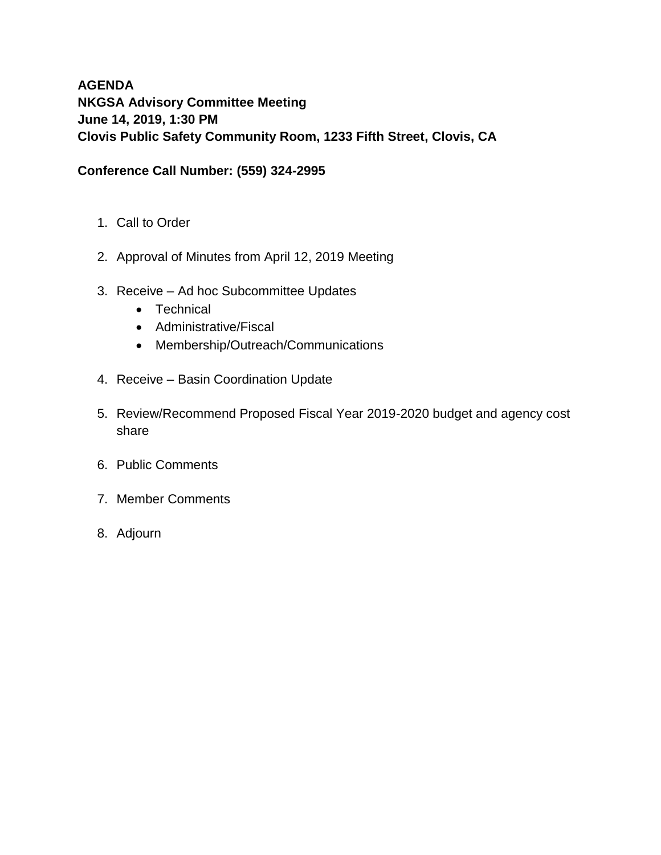# **AGENDA NKGSA Advisory Committee Meeting June 14, 2019, 1:30 PM Clovis Public Safety Community Room, 1233 Fifth Street, Clovis, CA**

## **Conference Call Number: (559) 324-2995**

- 1. Call to Order
- 2. Approval of Minutes from April 12, 2019 Meeting
- 3. Receive Ad hoc Subcommittee Updates
	- Technical
	- Administrative/Fiscal
	- Membership/Outreach/Communications
- 4. Receive Basin Coordination Update
- 5. Review/Recommend Proposed Fiscal Year 2019-2020 budget and agency cost share
- 6. Public Comments
- 7. Member Comments
- 8. Adjourn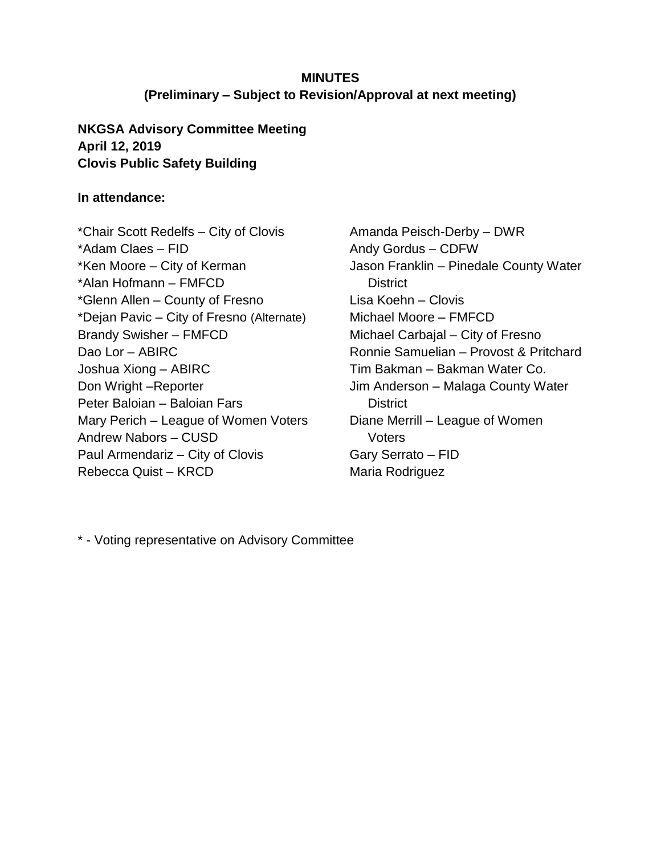# **MINUTES (Preliminary – Subject to Revision/Approval at next meeting)**

## **NKGSA Advisory Committee Meeting April 12, 2019 Clovis Public Safety Building**

## **In attendance:**

\*Chair Scott Redelfs – City of Clovis \*Adam Claes – FID \*Ken Moore – City of Kerman \*Alan Hofmann – FMFCD \*Glenn Allen – County of Fresno \*Dejan Pavic – City of Fresno (Alternate) Brandy Swisher – FMFCD Dao Lor – ABIRC Joshua Xiong – ABIRC Don Wright –Reporter Peter Baloian – Baloian Fars Mary Perich – League of Women Voters Andrew Nabors – CUSD Paul Armendariz – City of Clovis Rebecca Quist – KRCD

Amanda Peisch-Derby – DWR Andy Gordus – CDFW Jason Franklin – Pinedale County Water **District** Lisa Koehn – Clovis Michael Moore – FMFCD Michael Carbajal – City of Fresno Ronnie Samuelian – Provost & Pritchard Tim Bakman – Bakman Water Co. Jim Anderson – Malaga County Water **District** Diane Merrill – League of Women **Voters** Gary Serrato – FID Maria Rodriguez

\* - Voting representative on Advisory Committee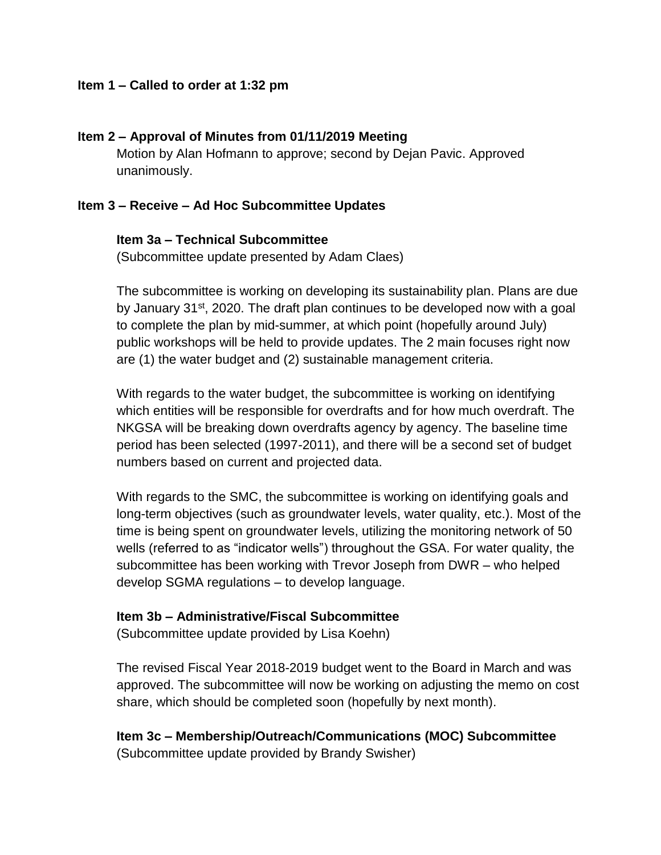## **Item 1 – Called to order at 1:32 pm**

## **Item 2 – Approval of Minutes from 01/11/2019 Meeting**

Motion by Alan Hofmann to approve; second by Dejan Pavic. Approved unanimously.

### **Item 3 – Receive – Ad Hoc Subcommittee Updates**

#### **Item 3a – Technical Subcommittee**

(Subcommittee update presented by Adam Claes)

The subcommittee is working on developing its sustainability plan. Plans are due by January 31<sup>st</sup>, 2020. The draft plan continues to be developed now with a goal to complete the plan by mid-summer, at which point (hopefully around July) public workshops will be held to provide updates. The 2 main focuses right now are (1) the water budget and (2) sustainable management criteria.

With regards to the water budget, the subcommittee is working on identifying which entities will be responsible for overdrafts and for how much overdraft. The NKGSA will be breaking down overdrafts agency by agency. The baseline time period has been selected (1997-2011), and there will be a second set of budget numbers based on current and projected data.

With regards to the SMC, the subcommittee is working on identifying goals and long-term objectives (such as groundwater levels, water quality, etc.). Most of the time is being spent on groundwater levels, utilizing the monitoring network of 50 wells (referred to as "indicator wells") throughout the GSA. For water quality, the subcommittee has been working with Trevor Joseph from DWR – who helped develop SGMA regulations – to develop language.

#### **Item 3b – Administrative/Fiscal Subcommittee**

(Subcommittee update provided by Lisa Koehn)

The revised Fiscal Year 2018-2019 budget went to the Board in March and was approved. The subcommittee will now be working on adjusting the memo on cost share, which should be completed soon (hopefully by next month).

**Item 3c – Membership/Outreach/Communications (MOC) Subcommittee** (Subcommittee update provided by Brandy Swisher)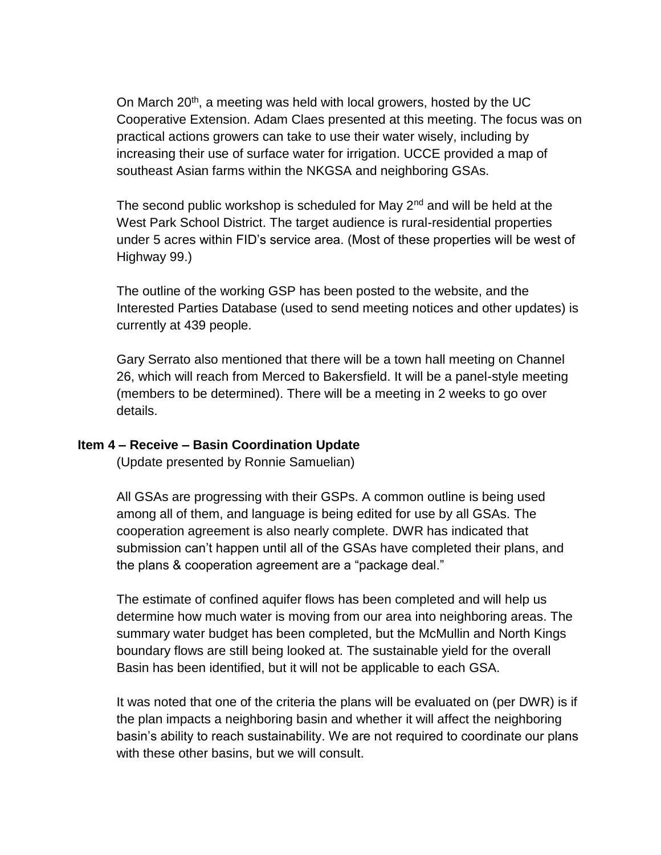On March  $20<sup>th</sup>$ , a meeting was held with local growers, hosted by the UC Cooperative Extension. Adam Claes presented at this meeting. The focus was on practical actions growers can take to use their water wisely, including by increasing their use of surface water for irrigation. UCCE provided a map of southeast Asian farms within the NKGSA and neighboring GSAs.

The second public workshop is scheduled for May  $2<sup>nd</sup>$  and will be held at the West Park School District. The target audience is rural-residential properties under 5 acres within FID's service area. (Most of these properties will be west of Highway 99.)

The outline of the working GSP has been posted to the website, and the Interested Parties Database (used to send meeting notices and other updates) is currently at 439 people.

Gary Serrato also mentioned that there will be a town hall meeting on Channel 26, which will reach from Merced to Bakersfield. It will be a panel-style meeting (members to be determined). There will be a meeting in 2 weeks to go over details.

#### **Item 4 – Receive – Basin Coordination Update**

(Update presented by Ronnie Samuelian)

All GSAs are progressing with their GSPs. A common outline is being used among all of them, and language is being edited for use by all GSAs. The cooperation agreement is also nearly complete. DWR has indicated that submission can't happen until all of the GSAs have completed their plans, and the plans & cooperation agreement are a "package deal."

The estimate of confined aquifer flows has been completed and will help us determine how much water is moving from our area into neighboring areas. The summary water budget has been completed, but the McMullin and North Kings boundary flows are still being looked at. The sustainable yield for the overall Basin has been identified, but it will not be applicable to each GSA.

It was noted that one of the criteria the plans will be evaluated on (per DWR) is if the plan impacts a neighboring basin and whether it will affect the neighboring basin's ability to reach sustainability. We are not required to coordinate our plans with these other basins, but we will consult.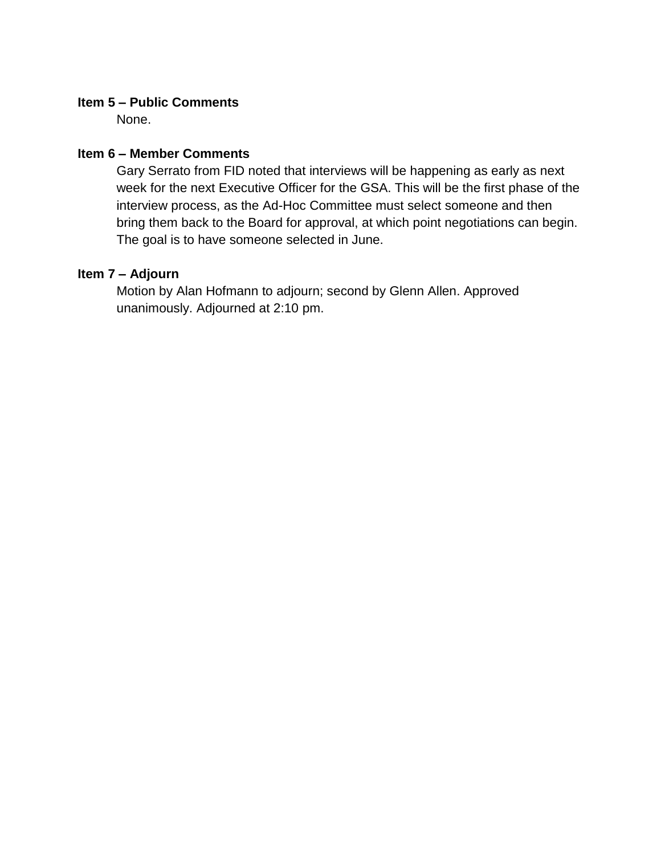## **Item 5 – Public Comments**

None.

## **Item 6 – Member Comments**

Gary Serrato from FID noted that interviews will be happening as early as next week for the next Executive Officer for the GSA. This will be the first phase of the interview process, as the Ad-Hoc Committee must select someone and then bring them back to the Board for approval, at which point negotiations can begin. The goal is to have someone selected in June.

## **Item 7 – Adjourn**

Motion by Alan Hofmann to adjourn; second by Glenn Allen. Approved unanimously. Adjourned at 2:10 pm.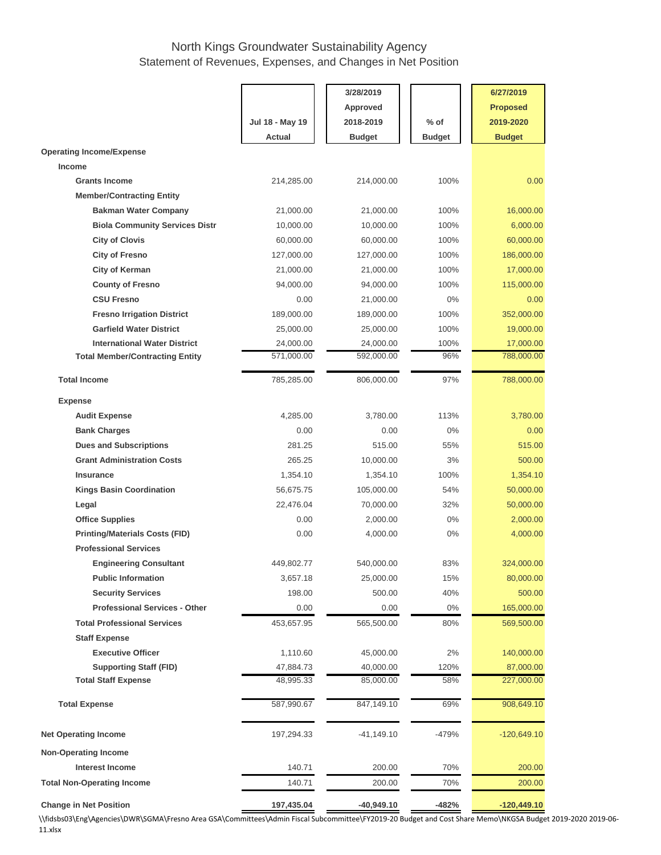## North Kings Groundwater Sustainability Agency Statement of Revenues, Expenses, and Changes in Net Position

|                                                             |                        | 3/28/2019              |               | 6/27/2019               |  |  |
|-------------------------------------------------------------|------------------------|------------------------|---------------|-------------------------|--|--|
|                                                             |                        | <b>Approved</b>        |               | <b>Proposed</b>         |  |  |
|                                                             | Jul 18 - May 19        | 2018-2019              | $%$ of        | 2019-2020               |  |  |
|                                                             | Actual                 | <b>Budget</b>          | <b>Budget</b> | <b>Budget</b>           |  |  |
| <b>Operating Income/Expense</b>                             |                        |                        |               |                         |  |  |
| Income                                                      |                        |                        |               |                         |  |  |
| <b>Grants Income</b>                                        | 214,285.00             | 214,000.00             | 100%          | 0.00                    |  |  |
| <b>Member/Contracting Entity</b>                            |                        |                        |               |                         |  |  |
| <b>Bakman Water Company</b>                                 | 21,000.00              | 21,000.00              | 100%          | 16,000.00               |  |  |
| <b>Biola Community Services Distr</b>                       | 10,000.00              | 10,000.00              | 100%          | 6,000.00                |  |  |
| <b>City of Clovis</b>                                       | 60,000.00              | 60,000.00              | 100%          | 60,000.00               |  |  |
| <b>City of Fresno</b>                                       | 127,000.00             | 127,000.00             | 100%          | 186,000.00              |  |  |
| <b>City of Kerman</b>                                       | 21,000.00              | 21,000.00              | 100%          | 17,000.00               |  |  |
| <b>County of Fresno</b>                                     | 94,000.00              | 94,000.00              | 100%          | 115,000.00              |  |  |
| <b>CSU Fresno</b>                                           | 0.00                   | 21,000.00              | $0\%$         | 0.00                    |  |  |
| <b>Fresno Irrigation District</b>                           | 189,000.00             | 189,000.00             | 100%          | 352,000.00              |  |  |
| <b>Garfield Water District</b>                              | 25,000.00              | 25,000.00              | 100%          | 19,000.00               |  |  |
| <b>International Water District</b>                         | 24,000.00              | 24,000.00              | 100%          |                         |  |  |
| <b>Total Member/Contracting Entity</b>                      | 571,000.00             | 592,000.00             | 96%           | 17,000.00<br>788,000.00 |  |  |
|                                                             |                        |                        |               |                         |  |  |
| <b>Total Income</b>                                         | 785,285.00             | 806,000.00             | 97%           | 788,000.00              |  |  |
| <b>Expense</b>                                              |                        |                        |               |                         |  |  |
| <b>Audit Expense</b>                                        | 4,285.00               | 3,780.00               | 113%          | 3,780.00                |  |  |
| <b>Bank Charges</b>                                         | 0.00                   | 0.00                   | $0\%$         | 0.00                    |  |  |
| <b>Dues and Subscriptions</b>                               | 281.25                 | 515.00                 | 55%           | 515.00                  |  |  |
| <b>Grant Administration Costs</b>                           | 265.25                 | 10,000.00              | 3%            | 500.00                  |  |  |
| <b>Insurance</b>                                            | 1,354.10               | 1,354.10               | 100%          | 1,354.10                |  |  |
| <b>Kings Basin Coordination</b>                             | 56,675.75              | 105,000.00             | 54%           | 50,000.00               |  |  |
| Legal                                                       | 22,476.04              | 70,000.00              | 32%           | 50,000.00               |  |  |
| <b>Office Supplies</b>                                      | 0.00                   | 2,000.00               | $0\%$         | 2,000.00                |  |  |
| <b>Printing/Materials Costs (FID)</b>                       | 0.00                   | 4,000.00               | $0\%$         | 4,000.00                |  |  |
| <b>Professional Services</b>                                |                        |                        |               |                         |  |  |
| <b>Engineering Consultant</b>                               | 449,802.77             | 540,000.00             | 83%           | 324,000.00              |  |  |
| <b>Public Information</b>                                   | 3,657.18               | 25,000.00              | 15%           | 80,000.00               |  |  |
| <b>Security Services</b>                                    | 198.00                 | 500.00                 | 40%           | 500.00                  |  |  |
| <b>Professional Services - Other</b>                        | 0.00                   | 0.00                   | $0\%$         | 165,000.00              |  |  |
| <b>Total Professional Services</b>                          | 453,657.95             | 565,500.00             | 80%           |                         |  |  |
| <b>Staff Expense</b>                                        |                        |                        |               | 569,500.00              |  |  |
| <b>Executive Officer</b>                                    |                        |                        | 2%            |                         |  |  |
|                                                             | 1,110.60               | 45,000.00<br>40,000.00 |               | 140,000.00              |  |  |
| <b>Supporting Staff (FID)</b><br><b>Total Staff Expense</b> | 47,884.73<br>48,995.33 | 85,000.00              | 120%<br>58%   | 87,000.00<br>227,000.00 |  |  |
|                                                             |                        |                        |               |                         |  |  |
| <b>Total Expense</b>                                        | 587,990.67             | 847,149.10             | 69%           | 908,649.10              |  |  |
| <b>Net Operating Income</b>                                 | 197,294.33             | $-41,149.10$           | $-479%$       | $-120,649.10$           |  |  |
| <b>Non-Operating Income</b>                                 |                        |                        |               |                         |  |  |
| <b>Interest Income</b>                                      | 140.71                 | 200.00                 | 70%           | 200.00                  |  |  |
| <b>Total Non-Operating Income</b>                           | 140.71                 | 200.00                 | 70%           | 200.00                  |  |  |
| <b>Change in Net Position</b>                               | 197,435.04             | $-40,949.10$           | $-482%$       | $-120,449.10$           |  |  |

\\fidsbs03\Eng\Agencies\DWR\SGMA\Fresno Area GSA\Committees\Admin Fiscal Subcommittee\FY2019-20 Budget and Cost Share Memo\NKGSA Budget 2019-2020 2019-06- 11.xlsx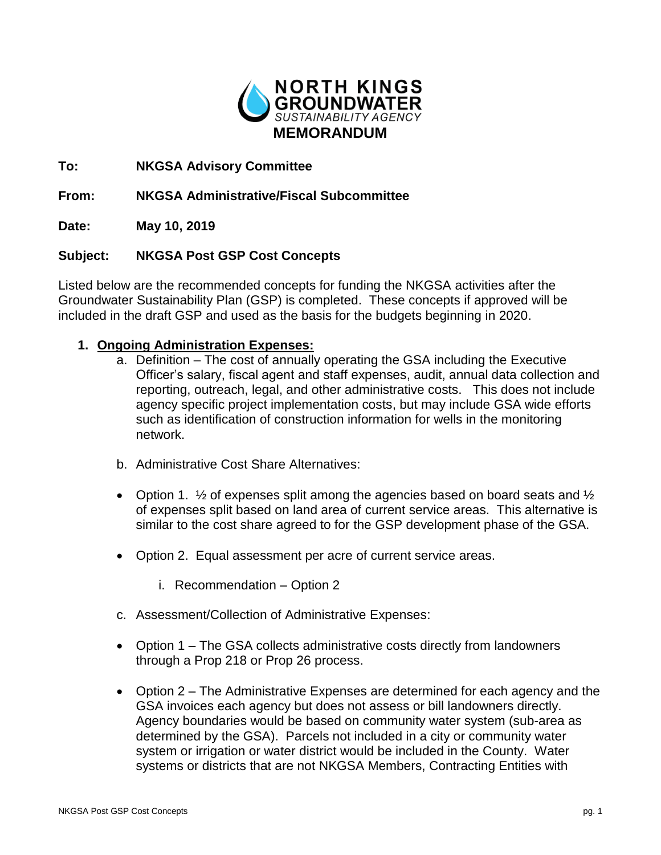

**To: NKGSA Advisory Committee**

**From: NKGSA Administrative/Fiscal Subcommittee**

**Date: May 10, 2019**

## **Subject: NKGSA Post GSP Cost Concepts**

Listed below are the recommended concepts for funding the NKGSA activities after the Groundwater Sustainability Plan (GSP) is completed. These concepts if approved will be included in the draft GSP and used as the basis for the budgets beginning in 2020.

## **1. Ongoing Administration Expenses:**

- a. Definition The cost of annually operating the GSA including the Executive Officer's salary, fiscal agent and staff expenses, audit, annual data collection and reporting, outreach, legal, and other administrative costs. This does not include agency specific project implementation costs, but may include GSA wide efforts such as identification of construction information for wells in the monitoring network.
- b. Administrative Cost Share Alternatives:
- Option 1.  $\frac{1}{2}$  of expenses split among the agencies based on board seats and  $\frac{1}{2}$ of expenses split based on land area of current service areas. This alternative is similar to the cost share agreed to for the GSP development phase of the GSA.
- Option 2. Equal assessment per acre of current service areas.
	- i. Recommendation Option 2
- c. Assessment/Collection of Administrative Expenses:
- Option 1 The GSA collects administrative costs directly from landowners through a Prop 218 or Prop 26 process.
- Option 2 The Administrative Expenses are determined for each agency and the GSA invoices each agency but does not assess or bill landowners directly. Agency boundaries would be based on community water system (sub-area as determined by the GSA). Parcels not included in a city or community water system or irrigation or water district would be included in the County. Water systems or districts that are not NKGSA Members, Contracting Entities with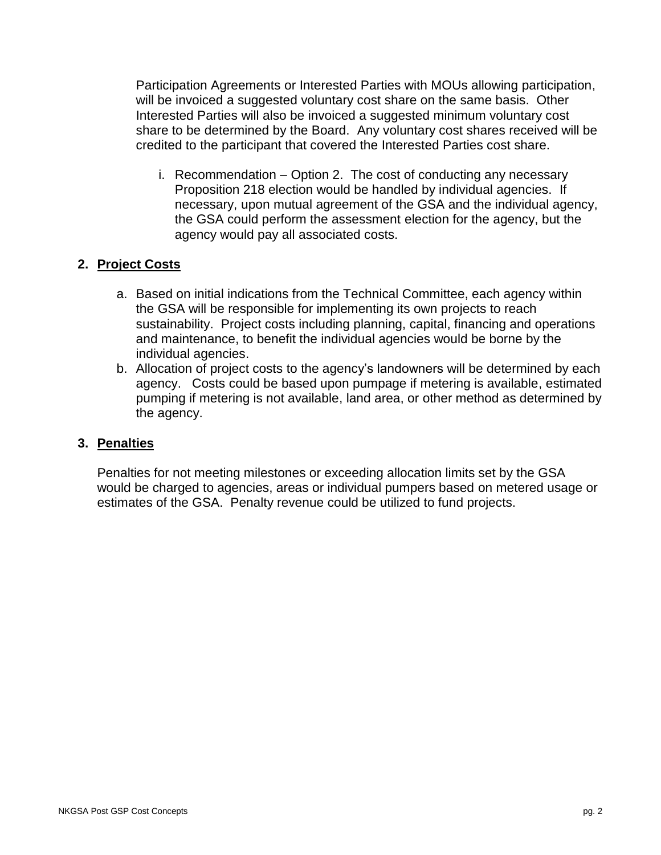Participation Agreements or Interested Parties with MOUs allowing participation, will be invoiced a suggested voluntary cost share on the same basis. Other Interested Parties will also be invoiced a suggested minimum voluntary cost share to be determined by the Board. Any voluntary cost shares received will be credited to the participant that covered the Interested Parties cost share.

i. Recommendation – Option 2. The cost of conducting any necessary Proposition 218 election would be handled by individual agencies. If necessary, upon mutual agreement of the GSA and the individual agency, the GSA could perform the assessment election for the agency, but the agency would pay all associated costs.

## **2. Project Costs**

- a. Based on initial indications from the Technical Committee, each agency within the GSA will be responsible for implementing its own projects to reach sustainability. Project costs including planning, capital, financing and operations and maintenance, to benefit the individual agencies would be borne by the individual agencies.
- b. Allocation of project costs to the agency's landowners will be determined by each agency. Costs could be based upon pumpage if metering is available, estimated pumping if metering is not available, land area, or other method as determined by the agency.

## **3. Penalties**

Penalties for not meeting milestones or exceeding allocation limits set by the GSA would be charged to agencies, areas or individual pumpers based on metered usage or estimates of the GSA. Penalty revenue could be utilized to fund projects.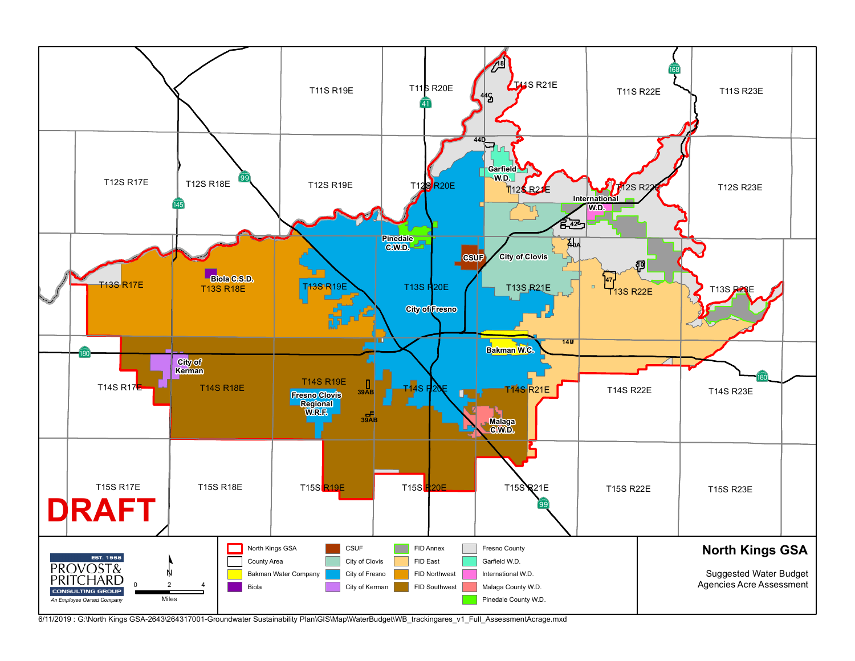

<sup>6/11/2019</sup> : G:\North Kings GSA-2643\264317001-Groundwater Sustainability Plan\GIS\Map\WaterBudget\WB\_trackingares\_v1\_Full\_AssessmentAcrage.mxd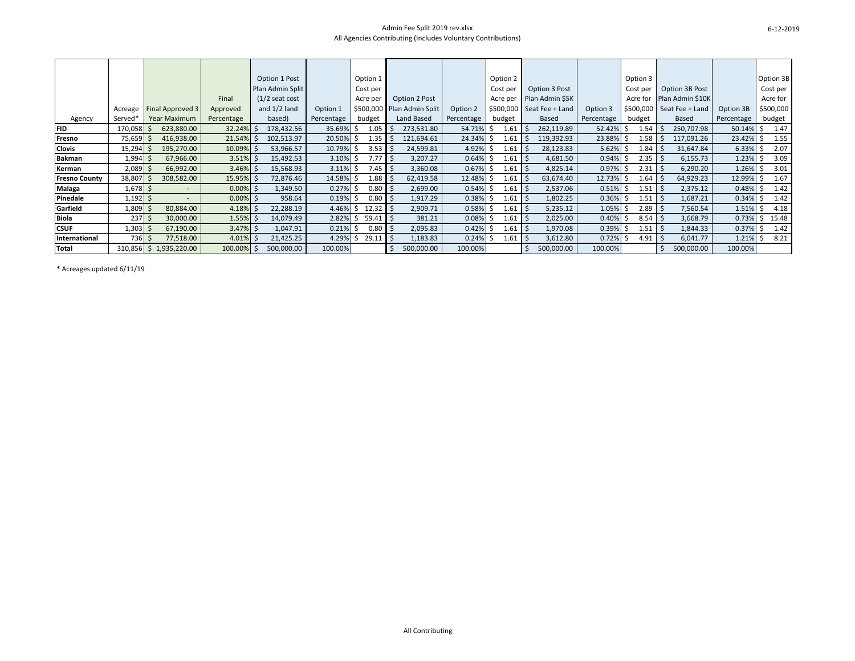#### Admin Fee Split 2019 rev.xlsx All Agencies Contributing (Includes Voluntary Contributions)

|                      |                     |                         |              | Option 1 Post     |            | Option 1 |     |                            |            | Option 2   |                            |            |   | Option 3    |                  |            | Option 3B             |
|----------------------|---------------------|-------------------------|--------------|-------------------|------------|----------|-----|----------------------------|------------|------------|----------------------------|------------|---|-------------|------------------|------------|-----------------------|
|                      |                     |                         |              | Plan Admin Split  |            | Cost per |     |                            |            | Cost per   | Option 3 Post              |            |   | Cost per    | Option 3B Post   |            | Cost per              |
|                      |                     |                         | Final        | $(1/2)$ seat cost |            | Acre per |     | Option 2 Post              |            | Acre per   | Plan Admin \$5K            |            |   | Acre for    | Plan Admin \$10K |            | Acre for              |
|                      | Acreage             | <b>Final Approved 3</b> | Approved     | and $1/2$ land    | Option 1   |          |     | \$500,000 Plan Admin Split | Option 2   |            | $$500,000$ Seat Fee + Land | Option 3   |   | \$500,000   | Seat Fee + Land  | Option 3B  | \$500,000             |
| Agency               | Served <sup>*</sup> | <b>Year Maximum</b>     | Percentage   | based)            | Percentage | budget   |     | Land Based                 | Percentage | budget     | Based                      | Percentage |   | budget      | <b>Based</b>     | Percentage | budget                |
| <b>FID</b>           | 170,058             | 623,880.00              | $32.24\%$ \$ | 178,432.56        | 35.69%     | 1.05     |     | 273,531.80                 | 54.71%     | 1.61       | 262,119.89                 | 52.42%     |   | 1.54        | 250,707.98       | 50.14%     | 1.47<br>s             |
| Fresno               | 75,659              | 416,938.00              | $21.54\%$ \$ | 102,513.97        | 20.50%     | 1.35     |     | 121,694.61                 | 24.34%     | 1.61       | 119,392.93                 | 23.88%     |   | 1.58        | 117,091.26       | 23.42%     | 1.55<br>S             |
| Clovis               | 15,294              | 195,270.00              | $10.09\%$ \$ | 53,966.57         | 10.79%     | 3.53     |     | 24,599.81                  | 4.92%      | 1.61       | 28,123.83                  | 5.62%      |   | 1.84        | 31,647.84        | 6.33%      | 2.07                  |
| <b>Bakman</b>        | 1,994               | 67,966.00               | $3.51\%$ \$  | 15,492.53         | 3.10%      | 7.77     |     | 3,207.27                   | 0.64%      | 1.61       | 4,681.50                   | 0.94%      |   | $2.35$   \$ | 6,155.73         | 1.23%      | 3.09                  |
| Kerman               | 2,089               | 66,992.00               | $3.46\%$ \$  | 15,568.93         | 3.11%      | 7.45     | l S | 3,360.08                   | 0.67%      | 1.61       | 4,825.14                   | 0.97%      |   | 2.31        | 6,290.20         | 1.26%      | 3.01                  |
| <b>Fresno County</b> | 38,807              | 308,582.00              | $15.95\%$ \$ | 72,876.46         | 14.58%     | 1.88     |     | 62,419.58                  | 12.48%     | 1.61       | 63,674.40                  | 12.73%     |   | 1.64        | 64,929.23        | 12.99%     | 1.67<br>Ś             |
| Malaga               | $1,678$ \$          |                         | $0.00\%$ \$  | 1,349.50          | 0.27%      | 0.80     | l S | 2,699.00                   | 0.54%      | 1.61<br>-5 | 2,537.06                   | 0.51%      | 5 | 1.51        | 2,375.12         | 0.48%      | 1.42<br>S.            |
| Pinedale             | 1,192               |                         | $0.00\%$ \$  | 958.64            | 0.19%      | 0.80     |     | 1,917.29                   | 0.38%      | 1.61       | 1,802.25                   | 0.36%      |   | 1.51        | 1,687.21         | 0.34%      | 1.42<br>$\mathcal{L}$ |
| Garfield             | 1,809               | 80,884.00               | $4.18\%$ \$  | 22,288.19         | 4.46%      | 12.32    |     | 2,909.71                   | 0.58%      | 1.61       | 5,235.12                   | 1.05%      |   | 2.89        | 7,560.54         | 1.51%      | 4.18                  |
| <b>Biola</b>         | 237                 | 30,000.00               | $1.55\%$ \$  | 14,079.49         | 2.82%      | 59.41    |     | 381.21                     | 0.08%      | 1.61       | 2,025.00                   | 0.40%      |   | 8.54        | 3,668.79         | 0.73%      | 15.48<br>S.           |
| <b>CSUF</b>          | 1,303               | 67,190.00               | $3.47\%$ \$  | 1,047.91          | 0.21%      | 0.80     |     | 2,095.83                   | 0.42%      | 1.61       | 1,970.08                   | 0.39%      |   | 1.51        | 1,844.33         | 0.37%      | 1.42<br>S             |
| International        | 736                 | 77,518.00               | $4.01\%$ \$  | 21,425.25         | 4.29%      | 29.11    |     | 1,183.83                   | 0.24%      | 1.61       | 3,612.80                   | 0.72%      |   | 4.91        | 6,041.77         | 1.21%      | 8.21<br>$\mathcal{L}$ |
| <b>Total</b>         | 310,856             | 1,935,220.00<br>Ŝ.      | 100.00%      | 500,000.00        | 100.00%    |          |     | 500,000.00                 | 100.00%    |            | 500,000.00                 | 100.00%    |   |             | 500,000.00       | 100.00%    |                       |

\* Acreages updated 6/11/19